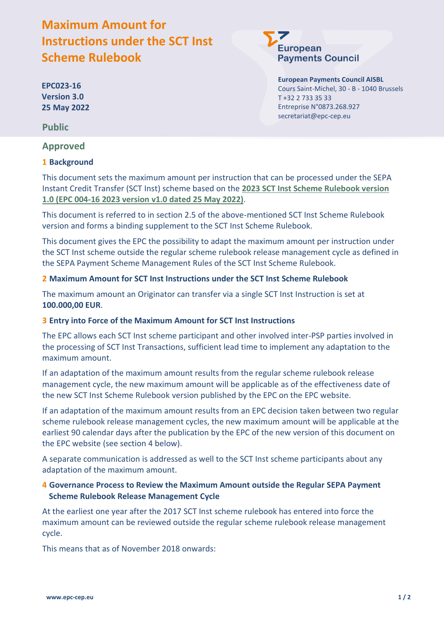# **Maximum Amount for Instructions under the SCT Inst Scheme Rulebook**

**EPC023-16 Version 3.0 25 May 2022**

**Public**

**Approved**

# **1 Background**

Entreprise N°0873.268.927 secretariat@epc-cep.eu

T +32 2 733 35 33

**European** 

**European Payments Council AISBL** Cours Saint-Michel, 30 - B - 1040 Brussels

**Payments Council** 

This document sets the maximum amount per instruction that can be processed under the SEPA Instant Credit Transfer (SCT Inst) scheme based on the **2023 SCT Inst Scheme Rulebook version 1.0 (EPC 004-16 2023 version v1.0 dated 25 May 2022)**.

This document is referred to in section 2.5 of the above-mentioned SCT Inst Scheme Rulebook version and forms a binding supplement to the SCT Inst Scheme Rulebook.

This document gives the EPC the possibility to adapt the maximum amount per instruction under the SCT Inst scheme outside the regular scheme rulebook release management cycle as defined in the SEPA Payment Scheme Management Rules of the SCT Inst Scheme Rulebook.

### **2 Maximum Amount for SCT Inst Instructions under the SCT Inst Scheme Rulebook**

The maximum amount an Originator can transfer via a single SCT Inst Instruction is set at **100.000,00 EUR**.

# **3 Entry into Force of the Maximum Amount for SCT Inst Instructions**

The EPC allows each SCT Inst scheme participant and other involved inter-PSP parties involved in the processing of SCT Inst Transactions, sufficient lead time to implement any adaptation to the maximum amount.

If an adaptation of the maximum amount results from the regular scheme rulebook release management cycle, the new maximum amount will be applicable as of the effectiveness date of the new SCT Inst Scheme Rulebook version published by the EPC on the EPC website.

If an adaptation of the maximum amount results from an EPC decision taken between two regular scheme rulebook release management cycles, the new maximum amount will be applicable at the earliest 90 calendar days after the publication by the EPC of the new version of this document on the EPC website (see section [4](#page-0-0) below).

A separate communication is addressed as well to the SCT Inst scheme participants about any adaptation of the maximum amount.

# <span id="page-0-0"></span>**4 Governance Process to Review the Maximum Amount outside the Regular SEPA Payment Scheme Rulebook Release Management Cycle**

At the earliest one year after the 2017 SCT Inst scheme rulebook has entered into force the maximum amount can be reviewed outside the regular scheme rulebook release management cycle.

This means that as of November 2018 onwards: